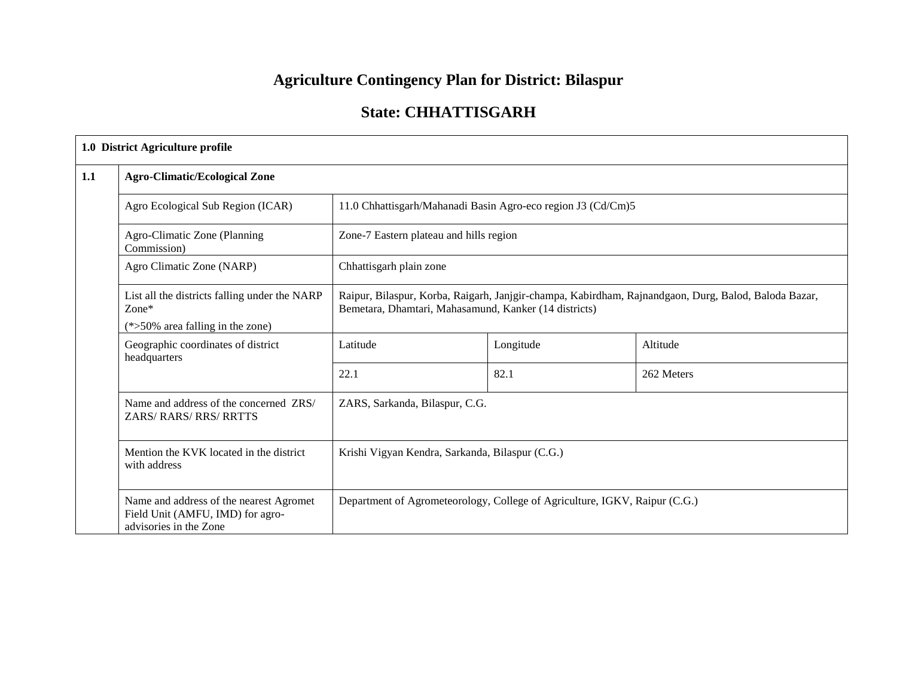# **Agriculture Contingency Plan for District: Bilaspur**

# **State: CHHATTISGARH**

|     | 1.0 District Agriculture profile                                                                      |                                                                                                                                                               |                                                                            |            |  |  |
|-----|-------------------------------------------------------------------------------------------------------|---------------------------------------------------------------------------------------------------------------------------------------------------------------|----------------------------------------------------------------------------|------------|--|--|
| 1.1 | <b>Agro-Climatic/Ecological Zone</b>                                                                  |                                                                                                                                                               |                                                                            |            |  |  |
|     | Agro Ecological Sub Region (ICAR)                                                                     |                                                                                                                                                               | 11.0 Chhattisgarh/Mahanadi Basin Agro-eco region J3 (Cd/Cm)5               |            |  |  |
|     | Agro-Climatic Zone (Planning<br>Commission)                                                           |                                                                                                                                                               | Zone-7 Eastern plateau and hills region                                    |            |  |  |
|     | Agro Climatic Zone (NARP)                                                                             | Chhattisgarh plain zone                                                                                                                                       |                                                                            |            |  |  |
|     | List all the districts falling under the NARP<br>Zone*<br>$(*>50\%$ area falling in the zone)         | Raipur, Bilaspur, Korba, Raigarh, Janjgir-champa, Kabirdham, Rajnandgaon, Durg, Balod, Baloda Bazar,<br>Bemetara, Dhamtari, Mahasamund, Kanker (14 districts) |                                                                            |            |  |  |
|     | Geographic coordinates of district<br>headquarters                                                    | Latitude                                                                                                                                                      | Longitude                                                                  | Altitude   |  |  |
|     |                                                                                                       | 22.1                                                                                                                                                          | 82.1                                                                       | 262 Meters |  |  |
|     | Name and address of the concerned ZRS/<br><b>ZARS/ RARS/ RRS/ RRTTS</b>                               | ZARS, Sarkanda, Bilaspur, C.G.                                                                                                                                |                                                                            |            |  |  |
|     | Mention the KVK located in the district<br>with address                                               | Krishi Vigyan Kendra, Sarkanda, Bilaspur (C.G.)                                                                                                               |                                                                            |            |  |  |
|     | Name and address of the nearest Agromet<br>Field Unit (AMFU, IMD) for agro-<br>advisories in the Zone |                                                                                                                                                               | Department of Agrometeorology, College of Agriculture, IGKV, Raipur (C.G.) |            |  |  |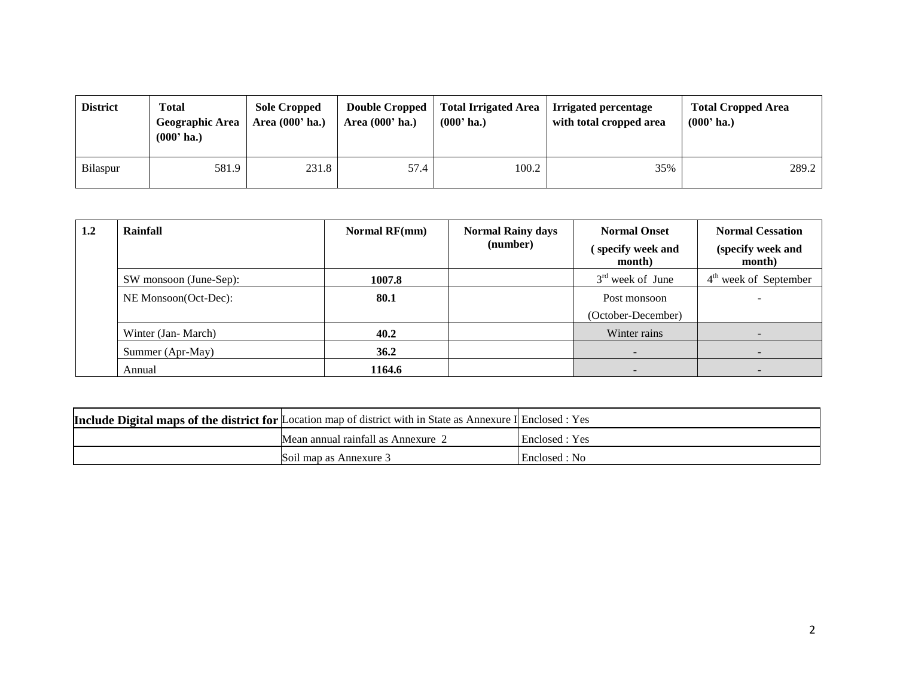| <b>District</b> | <b>Total</b><br><b>Geographic Area</b><br>$(000'$ ha.) | <b>Sole Cropped</b><br>Area $(000'$ ha.) | <b>Double Cropped</b><br>Area (000' ha.) | Total Irrigated Area<br>$(000'$ ha.) | Irrigated percentage<br>with total cropped area | <b>Total Cropped Area</b><br>$(000'$ ha.) |
|-----------------|--------------------------------------------------------|------------------------------------------|------------------------------------------|--------------------------------------|-------------------------------------------------|-------------------------------------------|
| <b>Bilaspur</b> | 581.9                                                  | 231.8                                    | 57.4                                     | 100.2                                | 35%                                             | 289.2                                     |

| $1.2\,$ | Rainfall               | <b>Normal RF(mm)</b> | <b>Normal Rainy days</b><br>(number) | <b>Normal Onset</b><br>specify week and<br>month) | <b>Normal Cessation</b><br>(specify week and<br>month) |
|---------|------------------------|----------------------|--------------------------------------|---------------------------------------------------|--------------------------------------------------------|
|         | SW monsoon (June-Sep): | 1007.8               |                                      | $3rd$ week of June                                | $4th$ week of September                                |
|         | NE Monsoon(Oct-Dec):   | 80.1                 |                                      | Post monsoon                                      |                                                        |
|         |                        |                      |                                      | (October-December)                                |                                                        |
|         | Winter (Jan-March)     | 40.2                 |                                      | Winter rains                                      |                                                        |
|         | Summer (Apr-May)       | 36.2                 |                                      | $\overline{\phantom{a}}$                          |                                                        |
|         | Annual                 | 1164.6               |                                      |                                                   |                                                        |

| <b>Include Digital maps of the district for Location map of district with in State as Annexure I Enclosed : Yes</b> |                |
|---------------------------------------------------------------------------------------------------------------------|----------------|
| Mean annual rainfall as Annexure 2                                                                                  | Enclosed : Yes |
| Soil map as Annexure 3                                                                                              | Enclosed : No  |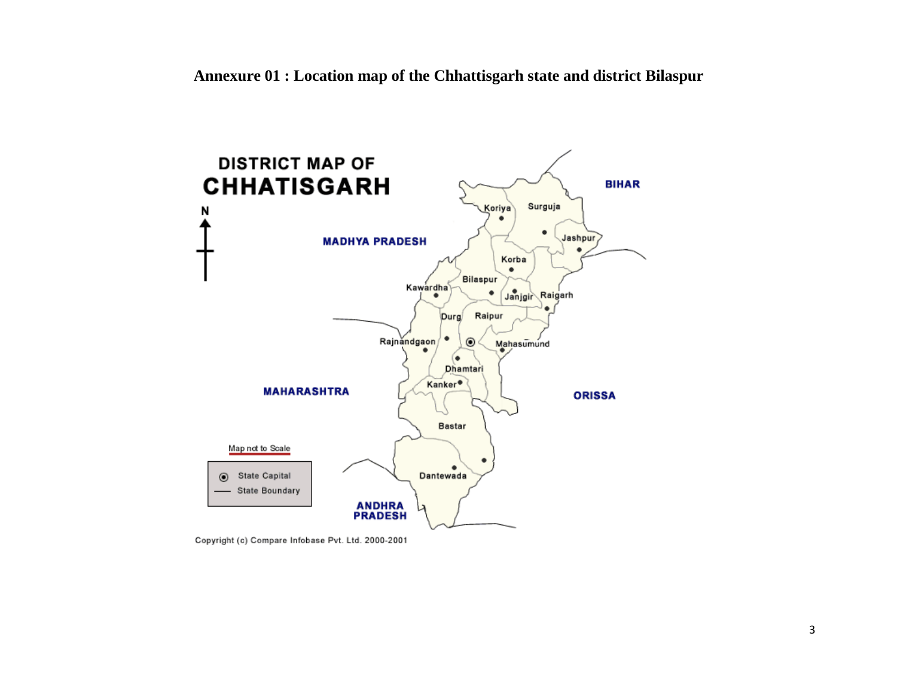

Copyright (c) Compare Infobase Pvt. Ltd. 2000-2001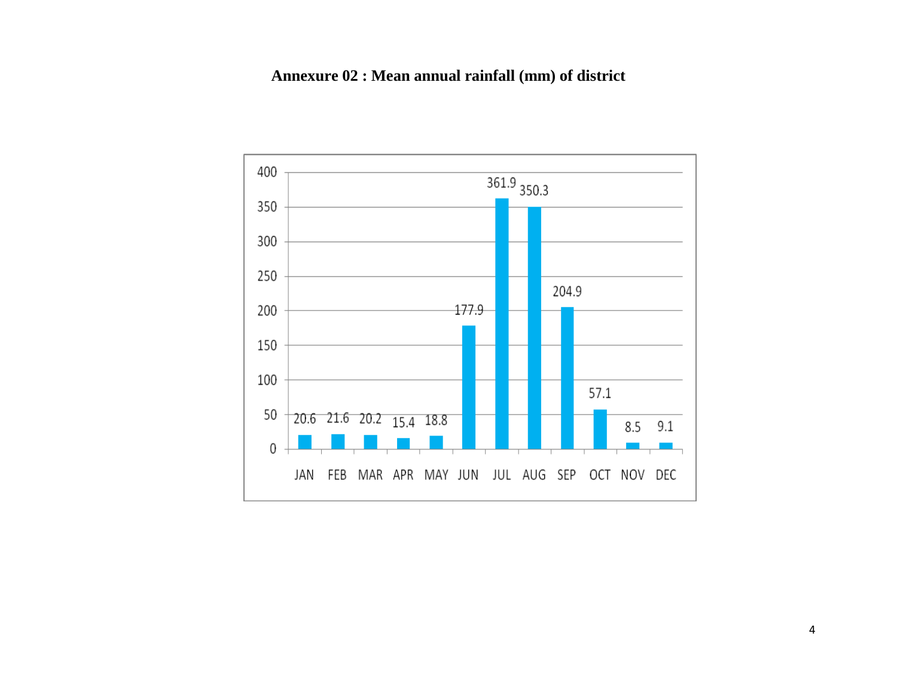# **Annexure 02 : Mean annual rainfall (mm) of district**

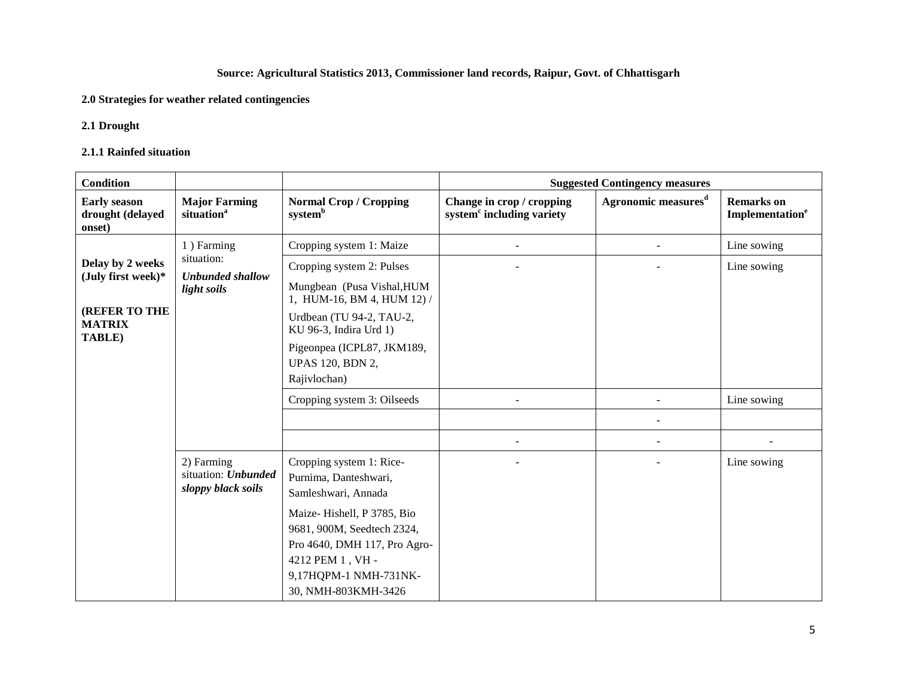# **Source: Agricultural Statistics 2013, Commissioner land records, Raipur, Govt. of Chhattisgarh**

### **2.0 Strategies for weather related contingencies**

### **2.1 Drought**

#### **2.1.1 Rainfed situation**

| Condition                                                                                 |                                                                    |                                                                                                                                                                                                                                                  |                                                                    | <b>Suggested Contingency measures</b> |                                                  |
|-------------------------------------------------------------------------------------------|--------------------------------------------------------------------|--------------------------------------------------------------------------------------------------------------------------------------------------------------------------------------------------------------------------------------------------|--------------------------------------------------------------------|---------------------------------------|--------------------------------------------------|
| <b>Early season</b><br>drought (delayed<br>onset)                                         | <b>Major Farming</b><br>situation <sup>a</sup>                     | <b>Normal Crop / Cropping</b><br>$\mathbf{system}^\mathbf{b}$                                                                                                                                                                                    | Change in crop / cropping<br>system <sup>c</sup> including variety | Agronomic measures <sup>d</sup>       | <b>Remarks</b> on<br>Implementation <sup>e</sup> |
| Delay by 2 weeks<br>(July first week)*<br><b>(REFER TO THE</b><br><b>MATRIX</b><br>TABLE) | 1) Farming<br>situation:<br><b>Unbunded shallow</b><br>light soils | Cropping system 1: Maize<br>Cropping system 2: Pulses<br>Mungbean (Pusa Vishal, HUM<br>1, HUM-16, BM 4, HUM 12) /<br>Urdbean (TU 94-2, TAU-2,<br>KU 96-3, Indira Urd 1)<br>Pigeonpea (ICPL87, JKM189,<br><b>UPAS 120, BDN 2,</b><br>Rajivlochan) |                                                                    | $\sim$                                | Line sowing<br>Line sowing                       |
|                                                                                           |                                                                    | Cropping system 3: Oilseeds                                                                                                                                                                                                                      |                                                                    |                                       | Line sowing                                      |
|                                                                                           | 2) Farming<br>situation: Unbunded<br>sloppy black soils            | Cropping system 1: Rice-<br>Purnima, Danteshwari,<br>Samleshwari, Annada<br>Maize-Hishell, P 3785, Bio<br>9681, 900M, Seedtech 2324,<br>Pro 4640, DMH 117, Pro Agro-<br>4212 PEM 1, VH -<br>9,17HQPM-1 NMH-731NK-<br>30, NMH-803KMH-3426         |                                                                    |                                       | Line sowing                                      |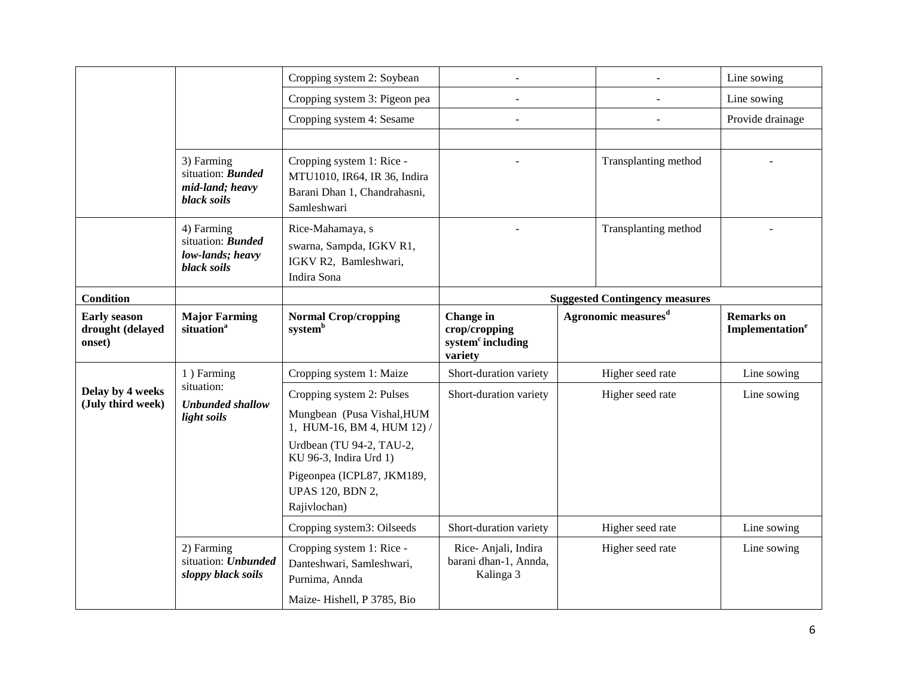|                                                   |                                                                           | Cropping system 2: Soybean                                                                                                                                                                                                                         |                                                                        |                                       | Line sowing                                      |
|---------------------------------------------------|---------------------------------------------------------------------------|----------------------------------------------------------------------------------------------------------------------------------------------------------------------------------------------------------------------------------------------------|------------------------------------------------------------------------|---------------------------------------|--------------------------------------------------|
|                                                   |                                                                           | Cropping system 3: Pigeon pea                                                                                                                                                                                                                      |                                                                        | $\overline{a}$                        | Line sowing                                      |
|                                                   |                                                                           | Cropping system 4: Sesame                                                                                                                                                                                                                          |                                                                        |                                       | Provide drainage                                 |
|                                                   |                                                                           |                                                                                                                                                                                                                                                    |                                                                        |                                       |                                                  |
|                                                   | 3) Farming<br>situation: <b>Bunded</b><br>mid-land; heavy<br>black soils  | Cropping system 1: Rice -<br>MTU1010, IR64, IR 36, Indira<br>Barani Dhan 1, Chandrahasni,<br>Samleshwari                                                                                                                                           |                                                                        | Transplanting method                  |                                                  |
|                                                   | 4) Farming<br>situation: <b>Bunded</b><br>low-lands; heavy<br>black soils | Rice-Mahamaya, s<br>swarna, Sampda, IGKV R1,<br>IGKV R2, Bamleshwari,<br>Indira Sona                                                                                                                                                               |                                                                        | Transplanting method                  |                                                  |
| <b>Condition</b>                                  |                                                                           |                                                                                                                                                                                                                                                    |                                                                        | <b>Suggested Contingency measures</b> |                                                  |
| <b>Early season</b><br>drought (delayed<br>onset) | <b>Major Farming</b><br>situation <sup>a</sup>                            | <b>Normal Crop/cropping</b><br>system <sup>b</sup>                                                                                                                                                                                                 | Change in<br>crop/cropping<br>system <sup>c</sup> including<br>variety | Agronomic measures <sup>d</sup>       | <b>Remarks</b> on<br>Implementation <sup>e</sup> |
|                                                   | 1) Farming                                                                | Cropping system 1: Maize                                                                                                                                                                                                                           | Short-duration variety                                                 | Higher seed rate                      | Line sowing                                      |
| Delay by 4 weeks<br>(July third week)             | situation:<br><b>Unbunded shallow</b><br>light soils                      | Cropping system 2: Pulses<br>Mungbean (Pusa Vishal, HUM<br>1, HUM-16, BM 4, HUM 12) /<br>Urdbean (TU 94-2, TAU-2,<br>KU 96-3, Indira Urd 1)<br>Pigeonpea (ICPL87, JKM189,<br><b>UPAS 120, BDN 2,</b><br>Rajivlochan)<br>Cropping system3: Oilseeds | Short-duration variety<br>Short-duration variety                       | Higher seed rate<br>Higher seed rate  | Line sowing<br>Line sowing                       |
|                                                   |                                                                           |                                                                                                                                                                                                                                                    |                                                                        |                                       |                                                  |
|                                                   | 2) Farming<br>situation: Unbunded<br>sloppy black soils                   | Cropping system 1: Rice -<br>Danteshwari, Samleshwari,<br>Purnima, Annda                                                                                                                                                                           | Rice-Anjali, Indira<br>barani dhan-1, Annda,<br>Kalinga 3              | Higher seed rate                      | Line sowing                                      |
|                                                   |                                                                           | Maize-Hishell, P 3785, Bio                                                                                                                                                                                                                         |                                                                        |                                       |                                                  |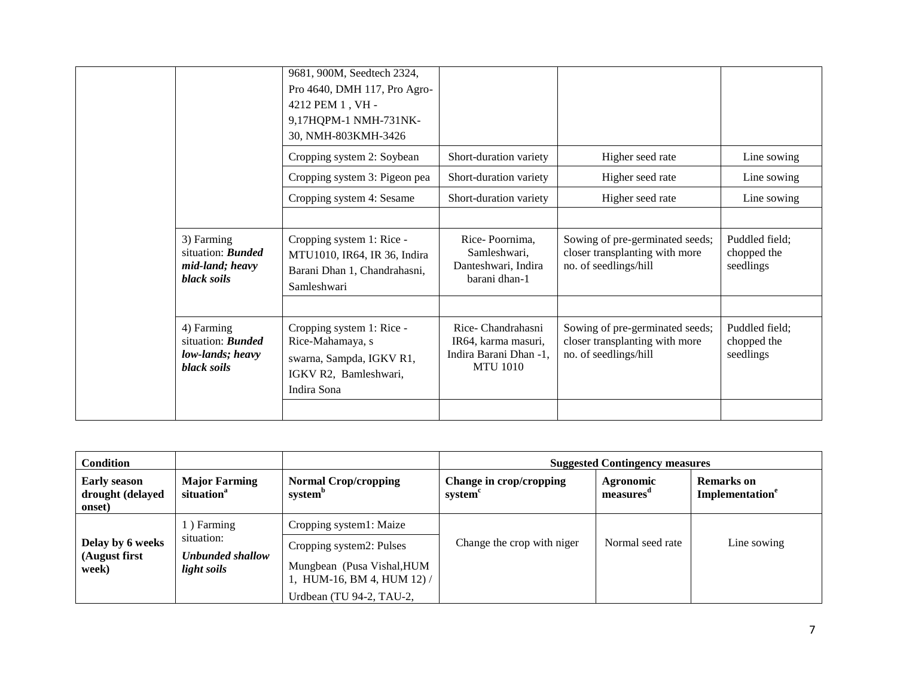|                                                                           | 9681, 900M, Seedtech 2324,<br>Pro 4640, DMH 117, Pro Agro-                                                        |                                                                                       |                                                                                            |                                            |
|---------------------------------------------------------------------------|-------------------------------------------------------------------------------------------------------------------|---------------------------------------------------------------------------------------|--------------------------------------------------------------------------------------------|--------------------------------------------|
|                                                                           | 4212 PEM 1, VH -<br>9,17HQPM-1 NMH-731NK-<br>30, NMH-803KMH-3426                                                  |                                                                                       |                                                                                            |                                            |
|                                                                           | Cropping system 2: Soybean                                                                                        | Short-duration variety                                                                | Higher seed rate                                                                           | Line sowing                                |
|                                                                           | Cropping system 3: Pigeon pea                                                                                     | Short-duration variety                                                                | Higher seed rate                                                                           | Line sowing                                |
|                                                                           | Cropping system 4: Sesame                                                                                         | Short-duration variety                                                                | Higher seed rate                                                                           | Line sowing                                |
|                                                                           |                                                                                                                   |                                                                                       |                                                                                            |                                            |
| 3) Farming<br>situation: <b>Bunded</b><br>mid-land; heavy<br>black soils  | Cropping system 1: Rice -<br>MTU1010, IR64, IR 36, Indira<br>Barani Dhan 1, Chandrahasni,<br>Samleshwari          | Rice-Poornima.<br>Samleshwari,<br>Danteshwari, Indira<br>barani dhan-1                | Sowing of pre-germinated seeds;<br>closer transplanting with more<br>no. of seedlings/hill | Puddled field:<br>chopped the<br>seedlings |
|                                                                           |                                                                                                                   |                                                                                       |                                                                                            |                                            |
| 4) Farming<br>situation: <b>Bunded</b><br>low-lands; heavy<br>black soils | Cropping system 1: Rice -<br>Rice-Mahamaya, s<br>swarna, Sampda, IGKV R1,<br>IGKV R2, Bamleshwari,<br>Indira Sona | Rice-Chandrahasni<br>IR64, karma masuri,<br>Indira Barani Dhan -1,<br><b>MTU 1010</b> | Sowing of pre-germinated seeds;<br>closer transplanting with more<br>no. of seedlings/hill | Puddled field;<br>chopped the<br>seedlings |
|                                                                           |                                                                                                                   |                                                                                       |                                                                                            |                                            |

| Condition                                         |                                                             |                                                                                         | <b>Suggested Contingency measures</b> |                       |                                                  |  |
|---------------------------------------------------|-------------------------------------------------------------|-----------------------------------------------------------------------------------------|---------------------------------------|-----------------------|--------------------------------------------------|--|
| <b>Early season</b><br>drought (delayed<br>onset) | <b>Major Farming</b><br>situation <sup>a</sup>              | <b>Normal Crop/cropping</b><br>system <sup>b</sup>                                      | Change in crop/cropping<br>system     | Agronomic<br>measures | <b>Remarks</b> on<br>Implementation <sup>e</sup> |  |
|                                                   | 1) Farming<br>situation:<br>Unbunded shallow<br>light soils | Cropping system1: Maize                                                                 |                                       |                       |                                                  |  |
| Delay by 6 weeks<br>(August first<br>week)        |                                                             | Cropping system2: Pulses<br>Mungbean (Pusa Vishal, HUM<br>1, HUM-16, BM 4, HUM $12$ ) / | Change the crop with niger            | Normal seed rate      | Line sowing                                      |  |
|                                                   |                                                             | Urdbean (TU 94-2, TAU-2,                                                                |                                       |                       |                                                  |  |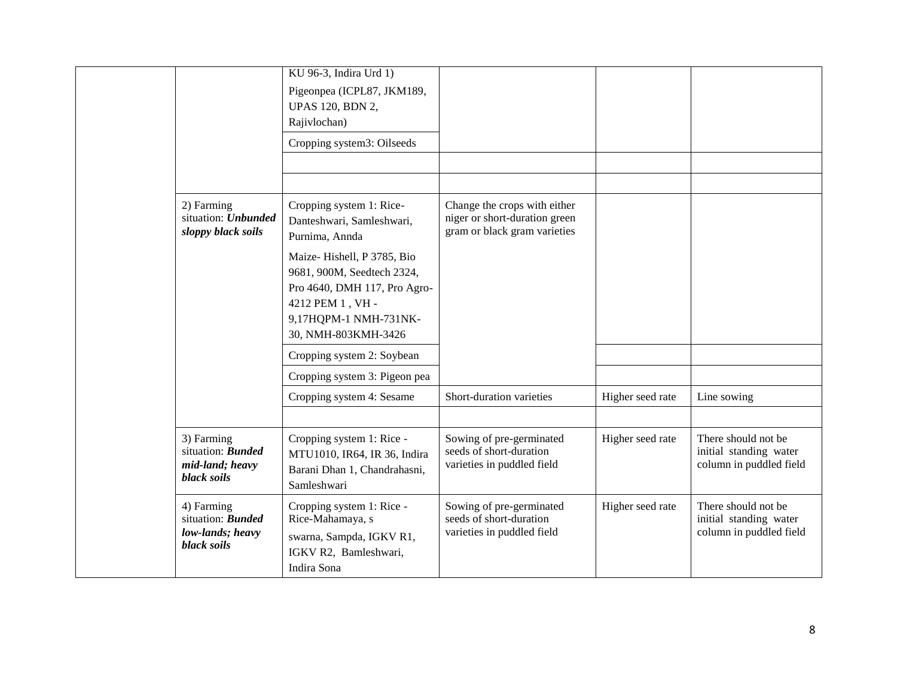|  |                                                                                 | KU 96-3, Indira Urd 1)<br>Pigeonpea (ICPL87, JKM189,<br><b>UPAS 120, BDN 2,</b><br>Rajivlochan)                                                                                         |                                                                                               |                  |                                                                          |
|--|---------------------------------------------------------------------------------|-----------------------------------------------------------------------------------------------------------------------------------------------------------------------------------------|-----------------------------------------------------------------------------------------------|------------------|--------------------------------------------------------------------------|
|  |                                                                                 | Cropping system3: Oilseeds                                                                                                                                                              |                                                                                               |                  |                                                                          |
|  |                                                                                 |                                                                                                                                                                                         |                                                                                               |                  |                                                                          |
|  | 2) Farming<br>situation: Unbunded<br>sloppy black soils                         | Cropping system 1: Rice-<br>Danteshwari, Samleshwari,<br>Purnima, Annda<br>Maize-Hishell, P 3785, Bio<br>9681, 900M, Seedtech 2324,<br>Pro 4640, DMH 117, Pro Agro-<br>4212 PEM 1, VH - | Change the crops with either<br>niger or short-duration green<br>gram or black gram varieties |                  |                                                                          |
|  |                                                                                 | 9,17HQPM-1 NMH-731NK-<br>30, NMH-803KMH-3426                                                                                                                                            |                                                                                               |                  |                                                                          |
|  |                                                                                 | Cropping system 2: Soybean                                                                                                                                                              |                                                                                               |                  |                                                                          |
|  |                                                                                 | Cropping system 3: Pigeon pea                                                                                                                                                           |                                                                                               |                  |                                                                          |
|  |                                                                                 | Cropping system 4: Sesame                                                                                                                                                               | Short-duration varieties                                                                      | Higher seed rate | Line sowing                                                              |
|  |                                                                                 |                                                                                                                                                                                         |                                                                                               |                  |                                                                          |
|  | 3) Farming<br>situation: <b>Bunded</b><br>mid-land; heavy<br><b>black</b> soils | Cropping system 1: Rice -<br>MTU1010, IR64, IR 36, Indira<br>Barani Dhan 1, Chandrahasni,<br>Samleshwari                                                                                | Sowing of pre-germinated<br>seeds of short-duration<br>varieties in puddled field             | Higher seed rate | There should not be<br>initial standing water<br>column in puddled field |
|  | 4) Farming<br>situation: Bunded<br>low-lands; heavy<br>black soils              | Cropping system 1: Rice -<br>Rice-Mahamaya, s<br>swarna, Sampda, IGKV R1,<br>IGKV R2, Bamleshwari,<br>Indira Sona                                                                       | Sowing of pre-germinated<br>seeds of short-duration<br>varieties in puddled field             | Higher seed rate | There should not be<br>initial standing water<br>column in puddled field |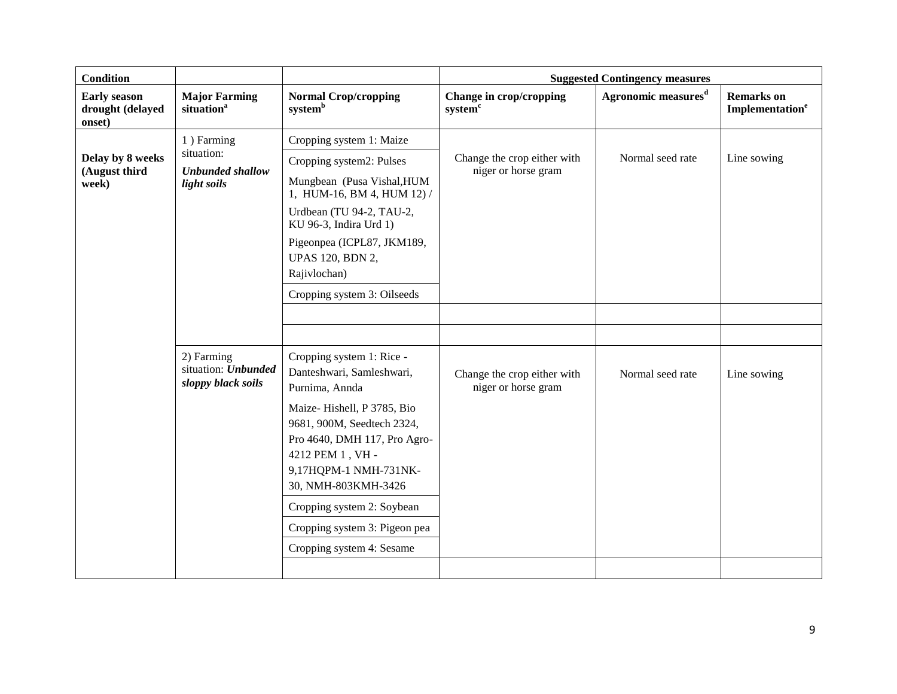| <b>Condition</b>                                  |                                                                    |                                                                                                                                                                                                                                                                                                                                      |                                                    | <b>Suggested Contingency measures</b> |                                                  |
|---------------------------------------------------|--------------------------------------------------------------------|--------------------------------------------------------------------------------------------------------------------------------------------------------------------------------------------------------------------------------------------------------------------------------------------------------------------------------------|----------------------------------------------------|---------------------------------------|--------------------------------------------------|
| <b>Early season</b><br>drought (delayed<br>onset) | <b>Major Farming</b><br>situation <sup>a</sup>                     | <b>Normal Crop/cropping</b><br>system <sup>b</sup>                                                                                                                                                                                                                                                                                   | Change in crop/cropping<br>system <sup>c</sup>     | Agronomic measures <sup>d</sup>       | <b>Remarks</b> on<br>Implementation <sup>e</sup> |
| Delay by 8 weeks<br>(August third<br>week)        | 1) Farming<br>situation:<br><b>Unbunded shallow</b><br>light soils | Cropping system 1: Maize<br>Cropping system2: Pulses<br>Mungbean (Pusa Vishal, HUM<br>1, HUM-16, BM 4, HUM 12) /<br>Urdbean (TU 94-2, TAU-2,<br>KU 96-3, Indira Urd 1)<br>Pigeonpea (ICPL87, JKM189,<br><b>UPAS 120, BDN 2,</b><br>Rajivlochan)<br>Cropping system 3: Oilseeds                                                       | Change the crop either with<br>niger or horse gram | Normal seed rate                      | Line sowing                                      |
|                                                   | 2) Farming<br>situation: Unbunded<br>sloppy black soils            | Cropping system 1: Rice -<br>Danteshwari, Samleshwari,<br>Purnima, Annda<br>Maize-Hishell, P 3785, Bio<br>9681, 900M, Seedtech 2324,<br>Pro 4640, DMH 117, Pro Agro-<br>4212 PEM 1, VH -<br>9,17HQPM-1 NMH-731NK-<br>30, NMH-803KMH-3426<br>Cropping system 2: Soybean<br>Cropping system 3: Pigeon pea<br>Cropping system 4: Sesame | Change the crop either with<br>niger or horse gram | Normal seed rate                      | Line sowing                                      |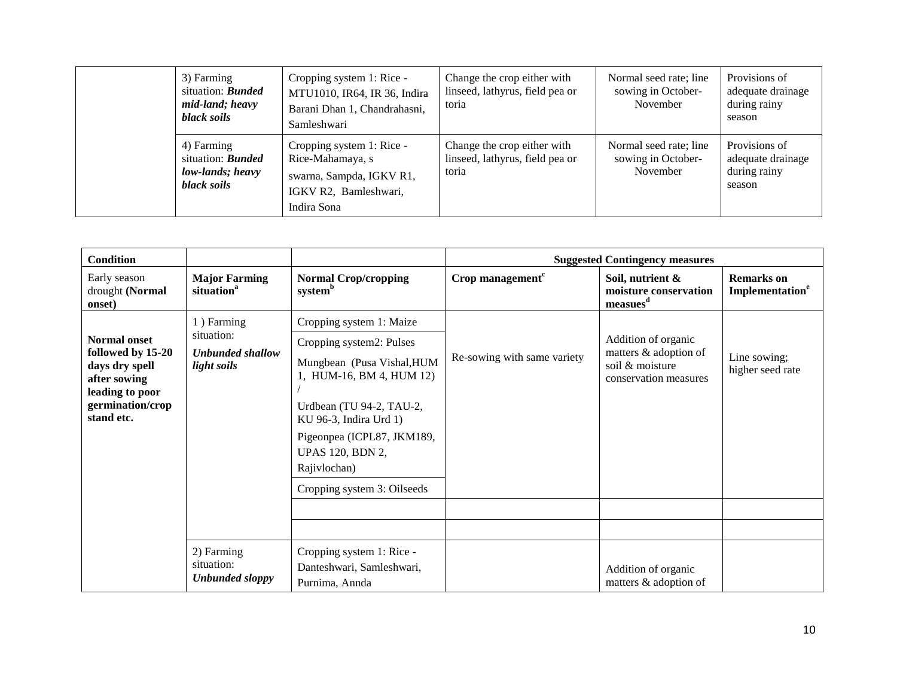|  | 3) Farming<br>situation: <b>Bunded</b><br>mid-land; heavy<br>black soils  | Cropping system 1: Rice -<br>MTU1010, IR64, IR 36, Indira<br>Barani Dhan 1, Chandrahasni,<br>Samleshwari          | Change the crop either with<br>linseed, lathyrus, field pea or<br>toria | Normal seed rate; line<br>sowing in October-<br>November | Provisions of<br>adequate drainage<br>during rainy<br>season |
|--|---------------------------------------------------------------------------|-------------------------------------------------------------------------------------------------------------------|-------------------------------------------------------------------------|----------------------------------------------------------|--------------------------------------------------------------|
|  | 4) Farming<br>situation: <b>Bunded</b><br>low-lands; heavy<br>black soils | Cropping system 1: Rice -<br>Rice-Mahamaya, s<br>swarna, Sampda, IGKV R1,<br>IGKV R2, Bamleshwari,<br>Indira Sona | Change the crop either with<br>linseed, lathyrus, field pea or<br>toria | Normal seed rate; line<br>sowing in October-<br>November | Provisions of<br>adequate drainage<br>during rainy<br>season |

| <b>Condition</b>                                                                                                                |                                                                    |                                                                                                                                                                                                                                                                              |                             | <b>Suggested Contingency measures</b>                                                    |                                                  |
|---------------------------------------------------------------------------------------------------------------------------------|--------------------------------------------------------------------|------------------------------------------------------------------------------------------------------------------------------------------------------------------------------------------------------------------------------------------------------------------------------|-----------------------------|------------------------------------------------------------------------------------------|--------------------------------------------------|
| Early season<br>drought (Normal<br>onset)                                                                                       | <b>Major Farming</b><br>situation <sup>a</sup>                     | <b>Normal Crop/cropping</b><br>system <sup>b</sup>                                                                                                                                                                                                                           | Crop management $c$         | Soil, nutrient &<br>moisture conservation<br>measures <sup>d</sup>                       | <b>Remarks</b> on<br>Implementation <sup>e</sup> |
| <b>Normal onset</b><br>followed by 15-20<br>days dry spell<br>after sowing<br>leading to poor<br>germination/crop<br>stand etc. | 1) Farming<br>situation:<br><b>Unbunded shallow</b><br>light soils | Cropping system 1: Maize<br>Cropping system2: Pulses<br>Mungbean (Pusa Vishal, HUM<br>1, HUM-16, BM 4, HUM 12)<br>Urdbean (TU 94-2, TAU-2,<br>KU 96-3, Indira Urd 1)<br>Pigeonpea (ICPL87, JKM189,<br><b>UPAS 120, BDN 2,</b><br>Rajivlochan)<br>Cropping system 3: Oilseeds | Re-sowing with same variety | Addition of organic<br>matters & adoption of<br>soil & moisture<br>conservation measures | Line sowing;<br>higher seed rate                 |
|                                                                                                                                 | 2) Farming<br>situation:<br><b>Unbunded sloppy</b>                 | Cropping system 1: Rice -<br>Danteshwari, Samleshwari,<br>Purnima, Annda                                                                                                                                                                                                     |                             | Addition of organic<br>matters & adoption of                                             |                                                  |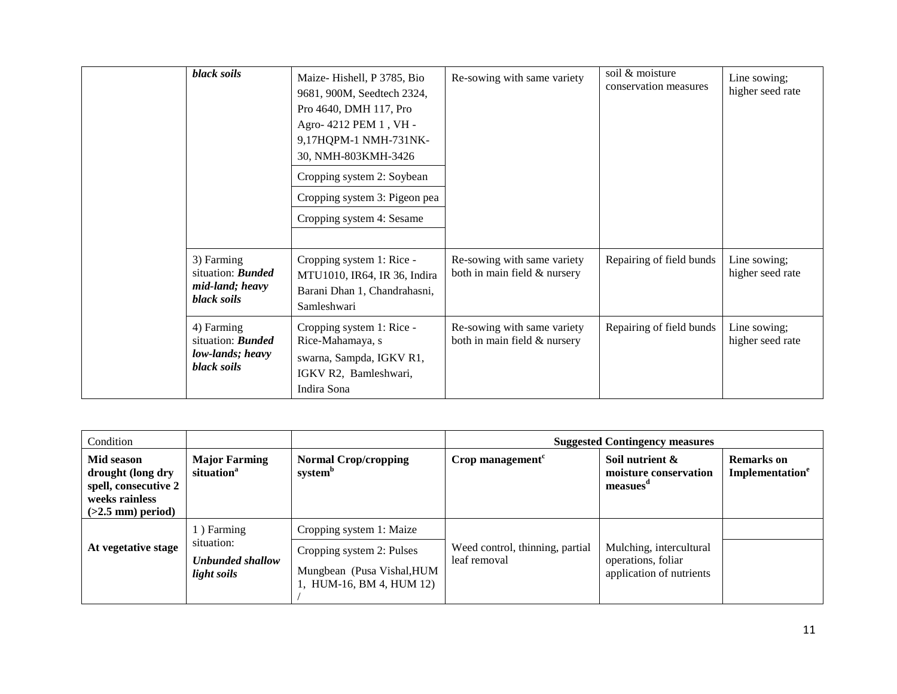| black soils                                                               | Maize-Hishell, P 3785, Bio<br>9681, 900M, Seedtech 2324,<br>Pro 4640, DMH 117, Pro<br>Agro- 4212 PEM 1, VH -<br>9,17HQPM-1 NMH-731NK-<br>30, NMH-803KMH-3426<br>Cropping system 2: Soybean<br>Cropping system 3: Pigeon pea<br>Cropping system 4: Sesame | Re-sowing with same variety                                 | soil & moisture<br>conservation measures | Line sowing;<br>higher seed rate |
|---------------------------------------------------------------------------|----------------------------------------------------------------------------------------------------------------------------------------------------------------------------------------------------------------------------------------------------------|-------------------------------------------------------------|------------------------------------------|----------------------------------|
| 3) Farming<br>situation: <b>Bunded</b><br>mid-land; heavy<br>black soils  | Cropping system 1: Rice -<br>MTU1010, IR64, IR 36, Indira<br>Barani Dhan 1, Chandrahasni,<br>Samleshwari                                                                                                                                                 | Re-sowing with same variety<br>both in main field & nursery | Repairing of field bunds                 | Line sowing;<br>higher seed rate |
| 4) Farming<br>situation: <b>Bunded</b><br>low-lands; heavy<br>black soils | Cropping system 1: Rice -<br>Rice-Mahamaya, s<br>swarna, Sampda, IGKV R1,<br>IGKV R2, Bamleshwari,<br>Indira Sona                                                                                                                                        | Re-sowing with same variety<br>both in main field & nursery | Repairing of field bunds                 | Line sowing;<br>higher seed rate |

| Condition                                                                                        |                                                             |                                                                                     |                                                 | <b>Suggested Contingency measures</b>                                     |                                           |
|--------------------------------------------------------------------------------------------------|-------------------------------------------------------------|-------------------------------------------------------------------------------------|-------------------------------------------------|---------------------------------------------------------------------------|-------------------------------------------|
| Mid season<br>drought (long dry<br>spell, consecutive 2<br>weeks rainless<br>$(>2.5$ mm) period) | <b>Major Farming</b><br>situation <sup>a</sup>              | <b>Normal Crop/cropping</b><br>system <sup>b</sup>                                  | Crop management <sup>c</sup>                    | Soil nutrient &<br>moisture conservation<br>measues <sup>a</sup>          | Remarks on<br>Implementation <sup>e</sup> |
| At vegetative stage                                                                              | 1) Farming<br>situation:<br>Unbunded shallow<br>light soils | Cropping system 1: Maize<br>Cropping system 2: Pulses<br>Mungbean (Pusa Vishal, HUM | Weed control, thinning, partial<br>leaf removal | Mulching, intercultural<br>operations, foliar<br>application of nutrients |                                           |
|                                                                                                  |                                                             | 1, HUM-16, BM 4, HUM 12)                                                            |                                                 |                                                                           |                                           |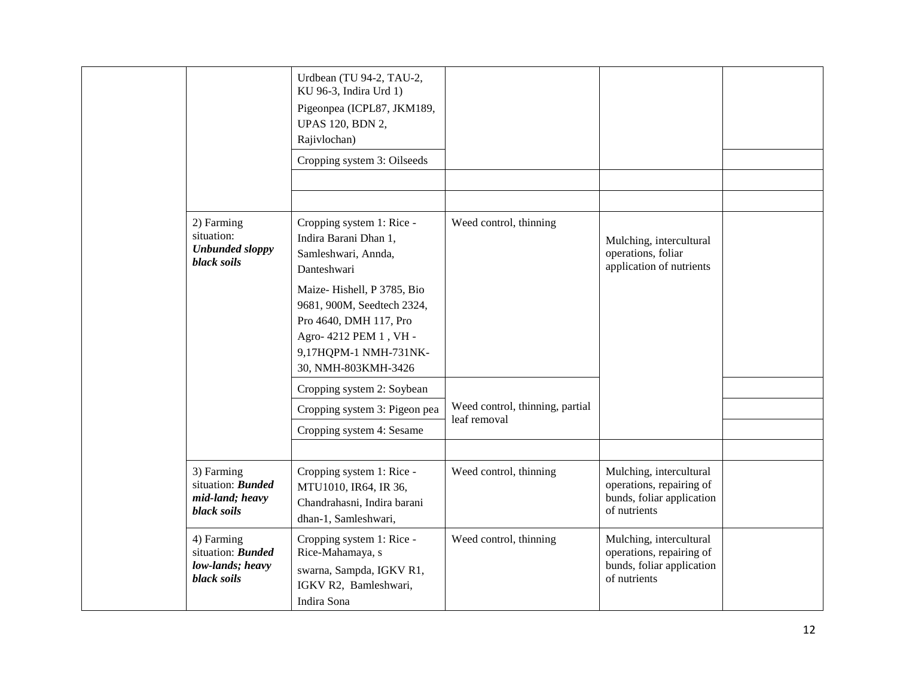|                                                                                  | Urdbean (TU 94-2, TAU-2,<br>KU 96-3, Indira Urd 1)<br>Pigeonpea (ICPL87, JKM189,<br><b>UPAS 120, BDN 2,</b><br>Rajivlochan)                                  |                                                 |                                                                                                  |  |
|----------------------------------------------------------------------------------|--------------------------------------------------------------------------------------------------------------------------------------------------------------|-------------------------------------------------|--------------------------------------------------------------------------------------------------|--|
|                                                                                  | Cropping system 3: Oilseeds                                                                                                                                  |                                                 |                                                                                                  |  |
|                                                                                  |                                                                                                                                                              |                                                 |                                                                                                  |  |
|                                                                                  |                                                                                                                                                              |                                                 |                                                                                                  |  |
| 2) Farming<br>situation:<br><b>Unbunded sloppy</b><br><b>black</b> soils         | Cropping system 1: Rice -<br>Indira Barani Dhan 1,<br>Samleshwari, Annda,<br>Danteshwari                                                                     | Weed control, thinning                          | Mulching, intercultural<br>operations, foliar<br>application of nutrients                        |  |
|                                                                                  | Maize-Hishell, P 3785, Bio<br>9681, 900M, Seedtech 2324,<br>Pro 4640, DMH 117, Pro<br>Agro- 4212 PEM 1, VH -<br>9,17HQPM-1 NMH-731NK-<br>30, NMH-803KMH-3426 |                                                 |                                                                                                  |  |
|                                                                                  | Cropping system 2: Soybean                                                                                                                                   |                                                 |                                                                                                  |  |
|                                                                                  | Cropping system 3: Pigeon pea                                                                                                                                | Weed control, thinning, partial<br>leaf removal |                                                                                                  |  |
|                                                                                  | Cropping system 4: Sesame                                                                                                                                    |                                                 |                                                                                                  |  |
|                                                                                  |                                                                                                                                                              |                                                 |                                                                                                  |  |
| 3) Farming<br>situation: <b>Bunded</b><br>mid-land; heavy<br><b>black</b> soils  | Cropping system 1: Rice -<br>MTU1010, IR64, IR 36,<br>Chandrahasni, Indira barani<br>dhan-1, Samleshwari,                                                    | Weed control, thinning                          | Mulching, intercultural<br>operations, repairing of<br>bunds, foliar application<br>of nutrients |  |
| 4) Farming<br>situation: <b>Bunded</b><br>low-lands; heavy<br><b>black</b> soils | Cropping system 1: Rice -<br>Rice-Mahamaya, s<br>swarna, Sampda, IGKV R1,<br>IGKV R2, Bamleshwari,<br>Indira Sona                                            | Weed control, thinning                          | Mulching, intercultural<br>operations, repairing of<br>bunds, foliar application<br>of nutrients |  |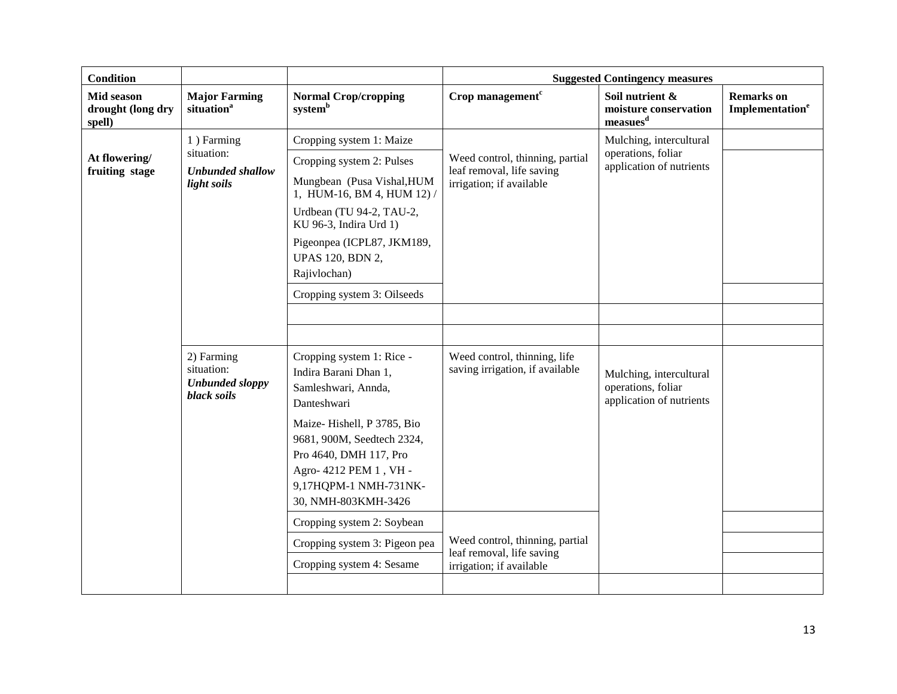| <b>Condition</b>                          |                                                                    |                                                                                                                                                                                                                                                 |                                                                                          | <b>Suggested Contingency measures</b>                                     |                                                  |
|-------------------------------------------|--------------------------------------------------------------------|-------------------------------------------------------------------------------------------------------------------------------------------------------------------------------------------------------------------------------------------------|------------------------------------------------------------------------------------------|---------------------------------------------------------------------------|--------------------------------------------------|
| Mid season<br>drought (long dry<br>spell) | <b>Major Farming</b><br>situation <sup>a</sup>                     | <b>Normal Crop/cropping</b><br>system <sup>b</sup>                                                                                                                                                                                              | Crop management $c$                                                                      | Soil nutrient &<br>moisture conservation<br>measures <sup>d</sup>         | <b>Remarks</b> on<br>Implementation <sup>e</sup> |
| At flowering/<br>fruiting stage           | 1) Farming<br>situation:<br><b>Unbunded shallow</b><br>light soils | Cropping system 1: Maize<br>Cropping system 2: Pulses<br>Mungbean (Pusa Vishal, HUM<br>1, HUM-16, BM 4, HUM 12)/<br>Urdbean (TU 94-2, TAU-2,<br>KU 96-3, Indira Urd 1)<br>Pigeonpea (ICPL87, JKM189,<br><b>UPAS 120, BDN 2,</b><br>Rajivlochan) | Weed control, thinning, partial<br>leaf removal, life saving<br>irrigation; if available | Mulching, intercultural<br>operations, foliar<br>application of nutrients |                                                  |
|                                           |                                                                    | Cropping system 3: Oilseeds                                                                                                                                                                                                                     |                                                                                          |                                                                           |                                                  |
|                                           |                                                                    |                                                                                                                                                                                                                                                 |                                                                                          |                                                                           |                                                  |
|                                           | 2) Farming<br>situation:<br><b>Unbunded sloppy</b><br>black soils  | Cropping system 1: Rice -<br>Indira Barani Dhan 1,<br>Samleshwari, Annda,<br>Danteshwari<br>Maize-Hishell, P 3785, Bio                                                                                                                          | Weed control, thinning, life<br>saving irrigation, if available                          | Mulching, intercultural<br>operations, foliar<br>application of nutrients |                                                  |
|                                           |                                                                    | 9681, 900M, Seedtech 2324,<br>Pro 4640, DMH 117, Pro<br>Agro- 4212 PEM 1, VH -<br>9,17HQPM-1 NMH-731NK-<br>30, NMH-803KMH-3426                                                                                                                  |                                                                                          |                                                                           |                                                  |
|                                           |                                                                    | Cropping system 2: Soybean                                                                                                                                                                                                                      |                                                                                          |                                                                           |                                                  |
|                                           |                                                                    | Cropping system 3: Pigeon pea                                                                                                                                                                                                                   | Weed control, thinning, partial<br>leaf removal, life saving                             |                                                                           |                                                  |
|                                           |                                                                    | Cropping system 4: Sesame                                                                                                                                                                                                                       | irrigation; if available                                                                 |                                                                           |                                                  |
|                                           |                                                                    |                                                                                                                                                                                                                                                 |                                                                                          |                                                                           |                                                  |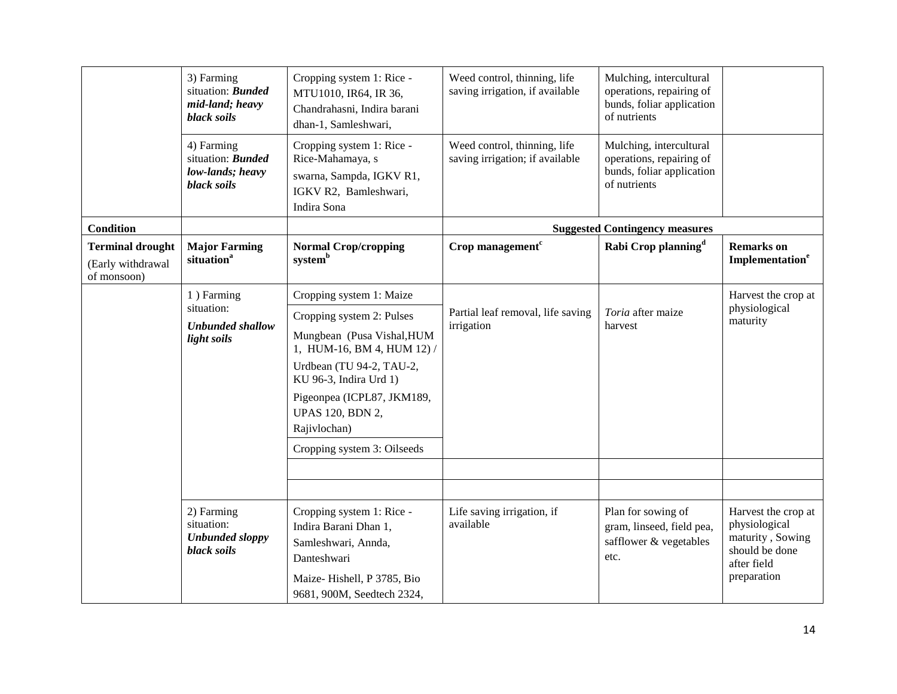|                                                             | 3) Farming<br>situation: <b>Bunded</b><br>mid-land; heavy<br>black soils  | Cropping system 1: Rice -<br>MTU1010, IR64, IR 36,<br>Chandrahasni, Indira barani<br>dhan-1, Samleshwari,                                            | Weed control, thinning, life<br>saving irrigation, if available | Mulching, intercultural<br>operations, repairing of<br>bunds, foliar application<br>of nutrients |                                                                                                          |
|-------------------------------------------------------------|---------------------------------------------------------------------------|------------------------------------------------------------------------------------------------------------------------------------------------------|-----------------------------------------------------------------|--------------------------------------------------------------------------------------------------|----------------------------------------------------------------------------------------------------------|
|                                                             | 4) Farming<br>situation: <b>Bunded</b><br>low-lands; heavy<br>black soils | Cropping system 1: Rice -<br>Rice-Mahamaya, s<br>swarna, Sampda, IGKV R1,<br>IGKV R2, Bamleshwari,<br>Indira Sona                                    | Weed control, thinning, life<br>saving irrigation; if available | Mulching, intercultural<br>operations, repairing of<br>bunds, foliar application<br>of nutrients |                                                                                                          |
| <b>Condition</b>                                            |                                                                           |                                                                                                                                                      |                                                                 | <b>Suggested Contingency measures</b>                                                            |                                                                                                          |
| <b>Terminal drought</b><br>(Early withdrawal<br>of monsoon) | <b>Major Farming</b><br>situation <sup>a</sup>                            | <b>Normal Crop/cropping</b><br>system <sup>b</sup>                                                                                                   | Crop management $c$                                             | Rabi Crop planning <sup>d</sup>                                                                  | <b>Remarks</b> on<br>Implementation <sup>e</sup>                                                         |
|                                                             | 1) Farming<br>situation:                                                  | Cropping system 1: Maize                                                                                                                             | Partial leaf removal, life saving<br>irrigation                 |                                                                                                  | Harvest the crop at                                                                                      |
|                                                             |                                                                           | Cropping system 2: Pulses                                                                                                                            |                                                                 | Toria after maize                                                                                | physiological<br>maturity                                                                                |
|                                                             | <b>Unbunded shallow</b><br>light soils                                    | Mungbean (Pusa Vishal, HUM<br>1, HUM-16, BM 4, HUM 12) /                                                                                             |                                                                 | harvest                                                                                          |                                                                                                          |
|                                                             |                                                                           | Urdbean (TU 94-2, TAU-2,<br>KU 96-3, Indira Urd 1)                                                                                                   |                                                                 |                                                                                                  |                                                                                                          |
|                                                             |                                                                           | Pigeonpea (ICPL87, JKM189,<br><b>UPAS 120, BDN 2,</b><br>Rajivlochan)                                                                                |                                                                 |                                                                                                  |                                                                                                          |
|                                                             |                                                                           | Cropping system 3: Oilseeds                                                                                                                          |                                                                 |                                                                                                  |                                                                                                          |
|                                                             |                                                                           |                                                                                                                                                      |                                                                 |                                                                                                  |                                                                                                          |
|                                                             |                                                                           |                                                                                                                                                      |                                                                 |                                                                                                  |                                                                                                          |
|                                                             | 2) Farming<br>situation:<br><b>Unbunded sloppy</b><br>black soils         | Cropping system 1: Rice -<br>Indira Barani Dhan 1,<br>Samleshwari, Annda,<br>Danteshwari<br>Maize-Hishell, P 3785, Bio<br>9681, 900M, Seedtech 2324, | Life saving irrigation, if<br>available                         | Plan for sowing of<br>gram, linseed, field pea,<br>safflower & vegetables<br>etc.                | Harvest the crop at<br>physiological<br>maturity, Sowing<br>should be done<br>after field<br>preparation |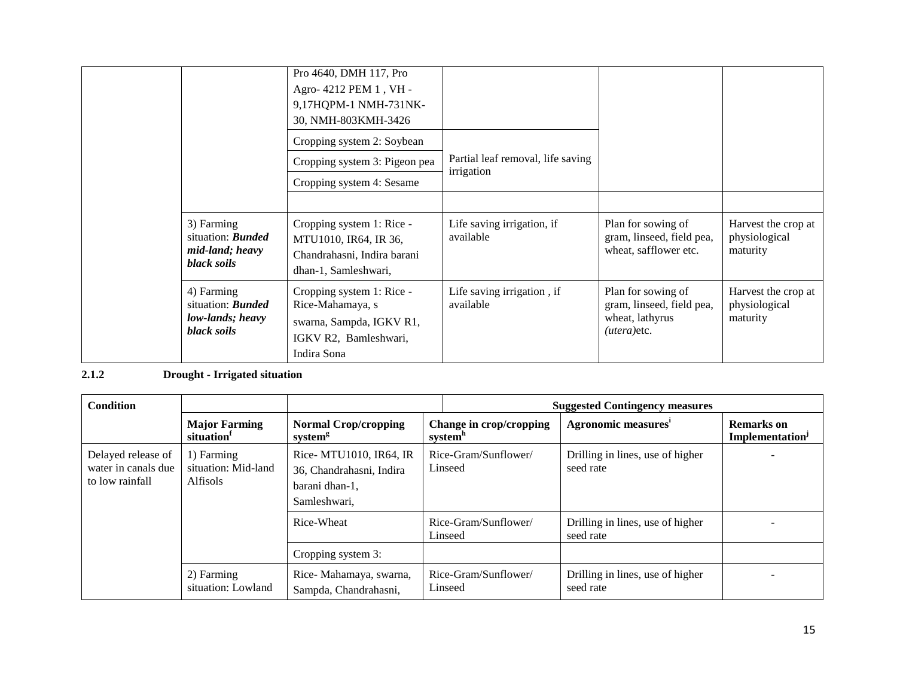|                                                                           | Pro 4640, DMH 117, Pro<br>Agro- 4212 PEM 1, VH -<br>9,17HQPM-1 NMH-731NK-<br>30, NMH-803KMH-3426                  |                                                 |                                                                                      |                                                  |
|---------------------------------------------------------------------------|-------------------------------------------------------------------------------------------------------------------|-------------------------------------------------|--------------------------------------------------------------------------------------|--------------------------------------------------|
|                                                                           | Cropping system 2: Soybean                                                                                        |                                                 |                                                                                      |                                                  |
|                                                                           | Cropping system 3: Pigeon pea                                                                                     | Partial leaf removal, life saving<br>irrigation |                                                                                      |                                                  |
|                                                                           | Cropping system 4: Sesame                                                                                         |                                                 |                                                                                      |                                                  |
|                                                                           |                                                                                                                   |                                                 |                                                                                      |                                                  |
| 3) Farming<br>situation: <b>Bunded</b><br>mid-land; heavy<br>black soils  | Cropping system 1: Rice -<br>MTU1010, IR64, IR 36,<br>Chandrahasni, Indira barani<br>dhan-1, Samleshwari,         | Life saving irrigation, if<br>available         | Plan for sowing of<br>gram, linseed, field pea,<br>wheat, safflower etc.             | Harvest the crop at<br>physiological<br>maturity |
| 4) Farming<br>situation: <b>Bunded</b><br>low-lands; heavy<br>black soils | Cropping system 1: Rice -<br>Rice-Mahamaya, s<br>swarna, Sampda, IGKV R1,<br>IGKV R2, Bamleshwari,<br>Indira Sona | Life saving irrigation, if<br>available         | Plan for sowing of<br>gram, linseed, field pea,<br>wheat, lathyrus<br>$(utera)$ etc. | Harvest the crop at<br>physiological<br>maturity |

# **2.1.2 Drought - Irrigated situation**

| <b>Condition</b>                                             |                                                      |                                                                                       |                                                | <b>Suggested Contingency measures</b>         |                                                  |
|--------------------------------------------------------------|------------------------------------------------------|---------------------------------------------------------------------------------------|------------------------------------------------|-----------------------------------------------|--------------------------------------------------|
|                                                              | <b>Major Farming</b><br>situation                    | <b>Normal Crop/cropping</b><br>system <sup>g</sup>                                    | Change in crop/cropping<br>system <sup>h</sup> | Agronomic measures <sup>i</sup>               | <b>Remarks</b> on<br>Implementation <sup>J</sup> |
| Delayed release of<br>water in canals due<br>to low rainfall | 1) Farming<br>situation: Mid-land<br><b>Alfisols</b> | Rice- MTU1010, IR64, IR<br>36, Chandrahasni, Indira<br>barani dhan-1,<br>Samleshwari. | Rice-Gram/Sunflower/<br>Linseed                | Drilling in lines, use of higher<br>seed rate |                                                  |
|                                                              |                                                      | Rice-Wheat                                                                            | Rice-Gram/Sunflower/<br>Linseed                | Drilling in lines, use of higher<br>seed rate |                                                  |
|                                                              |                                                      | Cropping system 3:                                                                    |                                                |                                               |                                                  |
|                                                              | 2) Farming<br>situation: Lowland                     | Rice-Mahamaya, swarna,<br>Sampda, Chandrahasni,                                       | Rice-Gram/Sunflower/<br>Linseed                | Drilling in lines, use of higher<br>seed rate |                                                  |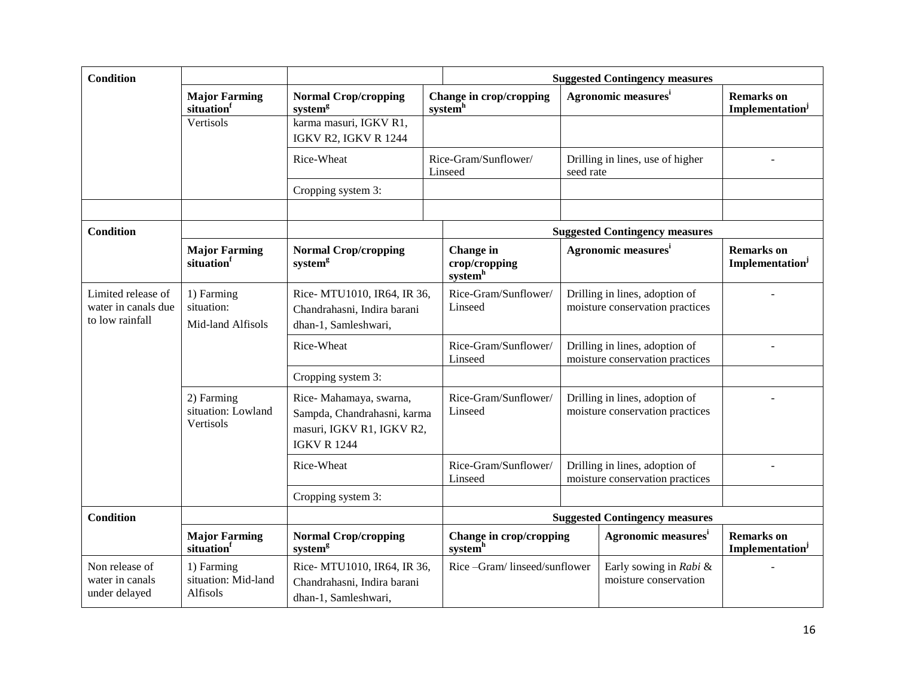| <b>Condition</b>                                             |                                               |                                                                                                          |                                                |           | <b>Suggested Contingency measures</b>                             |                                                         |
|--------------------------------------------------------------|-----------------------------------------------|----------------------------------------------------------------------------------------------------------|------------------------------------------------|-----------|-------------------------------------------------------------------|---------------------------------------------------------|
|                                                              | <b>Major Farming</b><br>situation             | <b>Normal Crop/cropping</b><br>system <sup>g</sup>                                                       | Change in crop/cropping<br>system <sup>h</sup> |           | <b>Agronomic measures</b>                                         | <b>Remarks</b> on<br>Implementation <sup>j</sup>        |
|                                                              | Vertisols                                     | karma masuri, IGKV R1,<br><b>IGKV R2, IGKV R 1244</b>                                                    |                                                |           |                                                                   |                                                         |
|                                                              |                                               | Rice-Wheat                                                                                               | Rice-Gram/Sunflower/<br>Linseed                | seed rate | Drilling in lines, use of higher                                  |                                                         |
|                                                              |                                               | Cropping system 3:                                                                                       |                                                |           |                                                                   |                                                         |
| <b>Condition</b>                                             |                                               |                                                                                                          |                                                |           | <b>Suggested Contingency measures</b>                             |                                                         |
|                                                              | <b>Major Farming</b><br>situation             | <b>Normal Crop/cropping</b><br>system <sup>g</sup>                                                       | Change in<br>crop/cropping<br>systemh          |           | Agronomic measures <sup>i</sup>                                   | <b>Remarks</b> on<br><b>Implementation</b> <sup>j</sup> |
| Limited release of<br>water in canals due<br>to low rainfall | 1) Farming<br>situation:<br>Mid-land Alfisols | Rice- MTU1010, IR64, IR 36,<br>Chandrahasni, Indira barani<br>dhan-1, Samleshwari,                       | Rice-Gram/Sunflower/<br>Linseed                |           | Drilling in lines, adoption of<br>moisture conservation practices |                                                         |
|                                                              |                                               | Rice-Wheat                                                                                               | Rice-Gram/Sunflower/<br>Linseed                |           | Drilling in lines, adoption of<br>moisture conservation practices |                                                         |
|                                                              |                                               | Cropping system 3:                                                                                       |                                                |           |                                                                   |                                                         |
|                                                              | 2) Farming<br>situation: Lowland<br>Vertisols | Rice-Mahamaya, swarna,<br>Sampda, Chandrahasni, karma<br>masuri, IGKV R1, IGKV R2,<br><b>IGKV R 1244</b> | Rice-Gram/Sunflower/<br>Linseed                |           | Drilling in lines, adoption of<br>moisture conservation practices |                                                         |
|                                                              |                                               | Rice-Wheat                                                                                               | Rice-Gram/Sunflower/<br>Linseed                |           | Drilling in lines, adoption of<br>moisture conservation practices |                                                         |
|                                                              |                                               | Cropping system 3:                                                                                       |                                                |           |                                                                   |                                                         |
| <b>Condition</b>                                             |                                               |                                                                                                          |                                                |           | <b>Suggested Contingency measures</b>                             |                                                         |
|                                                              | <b>Major Farming</b><br>situationf            | <b>Normal Crop/cropping</b><br>system <sup>g</sup>                                                       | Change in crop/cropping<br>systemh             |           | Agronomic measures <sup>i</sup>                                   | <b>Remarks</b> on<br><b>Implementation</b> <sup>j</sup> |
| Non release of<br>water in canals<br>under delayed           | 1) Farming<br>situation: Mid-land<br>Alfisols | Rice- MTU1010, IR64, IR 36,<br>Chandrahasni, Indira barani<br>dhan-1, Samleshwari,                       | Rice-Gram/linseed/sunflower                    |           | Early sowing in Rabi &<br>moisture conservation                   |                                                         |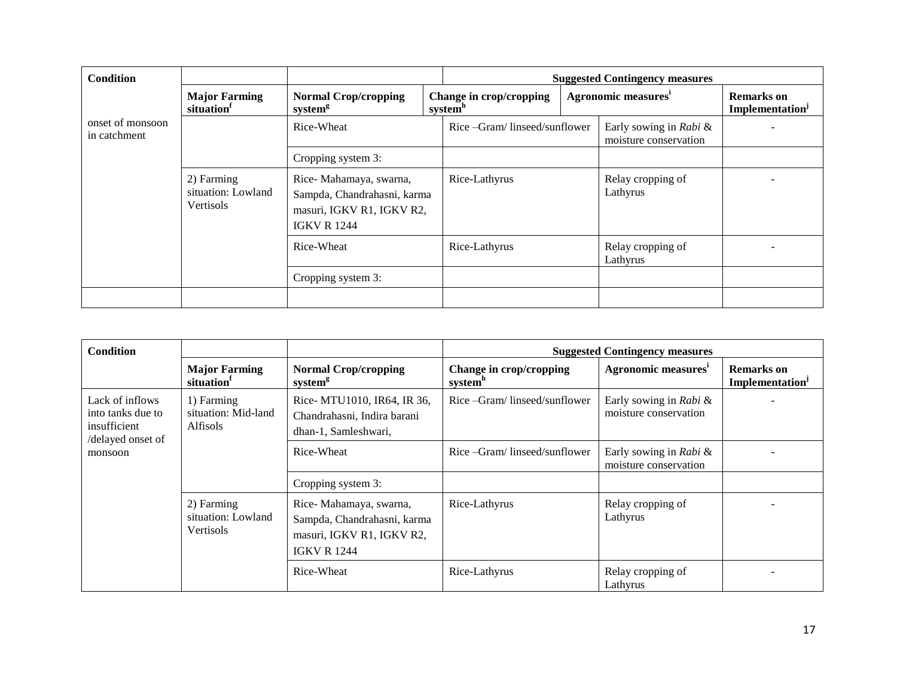| <b>Condition</b>                 |                                                      |                                                                                                          |                                                | <b>Suggested Contingency measures</b>           |                                                  |
|----------------------------------|------------------------------------------------------|----------------------------------------------------------------------------------------------------------|------------------------------------------------|-------------------------------------------------|--------------------------------------------------|
|                                  | <b>Major Farming</b><br>situation                    | <b>Normal Crop/cropping</b><br>system <sup>g</sup>                                                       | Change in crop/cropping<br>system <sup>h</sup> | Agronomic measures <sup>i</sup>                 | <b>Remarks</b> on<br>Implementation <sup>J</sup> |
| onset of monsoon<br>in catchment |                                                      | Rice-Wheat                                                                                               | Rice –Gram/linseed/sunflower                   | Early sowing in Rabi &<br>moisture conservation |                                                  |
|                                  |                                                      | Cropping system 3:                                                                                       |                                                |                                                 |                                                  |
|                                  | 2) Farming<br>situation: Lowland<br><b>Vertisols</b> | Rice-Mahamaya, swarna,<br>Sampda, Chandrahasni, karma<br>masuri, IGKV R1, IGKV R2,<br><b>IGKV R 1244</b> | Rice-Lathyrus                                  | Relay cropping of<br>Lathyrus                   |                                                  |
|                                  |                                                      | Rice-Wheat                                                                                               | Rice-Lathyrus                                  | Relay cropping of<br>Lathyrus                   |                                                  |
|                                  |                                                      | Cropping system 3:                                                                                       |                                                |                                                 |                                                  |
|                                  |                                                      |                                                                                                          |                                                |                                                 |                                                  |

| <b>Condition</b>                                                                     |                                                      |                                                                                                          |                                                | <b>Suggested Contingency measures</b>           |                                                  |
|--------------------------------------------------------------------------------------|------------------------------------------------------|----------------------------------------------------------------------------------------------------------|------------------------------------------------|-------------------------------------------------|--------------------------------------------------|
|                                                                                      | <b>Major Farming</b><br>situation                    | <b>Normal Crop/cropping</b><br>system <sup>g</sup>                                                       | Change in crop/cropping<br>system <sup>h</sup> | Agronomic measures <sup>1</sup>                 | <b>Remarks</b> on<br>Implementation <sup>J</sup> |
| Lack of inflows<br>into tanks due to<br>insufficient<br>/delayed onset of<br>monsoon | 1) Farming<br>situation: Mid-land<br>Alfisols        | Rice- MTU1010, IR64, IR 36,<br>Chandrahasni, Indira barani<br>dhan-1, Samleshwari,                       | Rice – Gram/linseed/sunflower                  | Early sowing in Rabi &<br>moisture conservation |                                                  |
|                                                                                      |                                                      | Rice-Wheat                                                                                               | Rice –Gram/linseed/sunflower                   | Early sowing in Rabi &<br>moisture conservation |                                                  |
|                                                                                      |                                                      | Cropping system 3:                                                                                       |                                                |                                                 |                                                  |
|                                                                                      | 2) Farming<br>situation: Lowland<br><b>Vertisols</b> | Rice-Mahamaya, swarna,<br>Sampda, Chandrahasni, karma<br>masuri, IGKV R1, IGKV R2,<br><b>IGKV R 1244</b> | Rice-Lathyrus                                  | Relay cropping of<br>Lathyrus                   |                                                  |
|                                                                                      |                                                      | Rice-Wheat                                                                                               | Rice-Lathyrus                                  | Relay cropping of<br>Lathyrus                   |                                                  |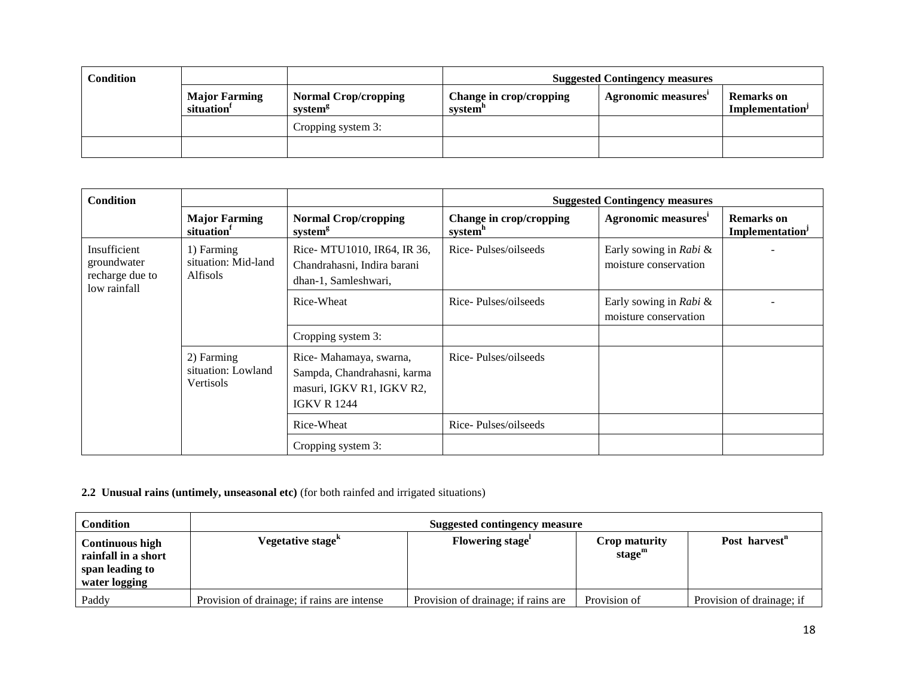| <b>Condition</b> |                                                |                                                    |                                    | <b>Suggested Contingency measures</b> |                                                  |
|------------------|------------------------------------------------|----------------------------------------------------|------------------------------------|---------------------------------------|--------------------------------------------------|
|                  | <b>Major Farming</b><br>situation <sup>1</sup> | <b>Normal Crop/cropping</b><br>system <sup>g</sup> | Change in crop/cropping<br>system" | Agronomic measures                    | <b>Remarks</b> on<br>Implementation <sup>J</sup> |
|                  |                                                | Cropping system 3:                                 |                                    |                                       |                                                  |
|                  |                                                |                                                    |                                    |                                       |                                                  |

| <b>Condition</b>                                               |                                                      |                                                                                                          |                                                | <b>Suggested Contingency measures</b>           |                                                  |
|----------------------------------------------------------------|------------------------------------------------------|----------------------------------------------------------------------------------------------------------|------------------------------------------------|-------------------------------------------------|--------------------------------------------------|
|                                                                | <b>Major Farming</b><br>situation <sup>1</sup>       | <b>Normal Crop/cropping</b><br>system <sup>g</sup>                                                       | Change in crop/cropping<br>system <sup>h</sup> | Agronomic measures <sup>1</sup>                 | <b>Remarks</b> on<br>Implementation <sup>J</sup> |
| Insufficient<br>groundwater<br>recharge due to<br>low rainfall | 1) Farming<br>situation: Mid-land<br><b>Alfisols</b> | Rice- MTU1010, IR64, IR 36,<br>Chandrahasni, Indira barani<br>dhan-1, Samleshwari,                       | Rice-Pulses/oilseeds                           | Early sowing in Rabi &<br>moisture conservation |                                                  |
|                                                                |                                                      | Rice-Wheat                                                                                               | Rice-Pulses/oilseeds                           | Early sowing in Rabi &<br>moisture conservation |                                                  |
|                                                                |                                                      | Cropping system 3:                                                                                       |                                                |                                                 |                                                  |
|                                                                | 2) Farming<br>situation: Lowland<br>Vertisols        | Rice-Mahamaya, swarna,<br>Sampda, Chandrahasni, karma<br>masuri, IGKV R1, IGKV R2,<br><b>IGKV R 1244</b> | Rice-Pulses/oilseeds                           |                                                 |                                                  |
|                                                                |                                                      | Rice-Wheat                                                                                               | Rice-Pulses/oilseeds                           |                                                 |                                                  |
|                                                                |                                                      | Cropping system 3:                                                                                       |                                                |                                                 |                                                  |

# **2.2 Unusual rains (untimely, unseasonal etc)** (for both rainfed and irrigated situations)

| <b>Condition</b>                                                                  | <b>Suggested contingency measure</b>        |                                     |                            |                           |  |
|-----------------------------------------------------------------------------------|---------------------------------------------|-------------------------------------|----------------------------|---------------------------|--|
| <b>Continuous high</b><br>rainfall in a short<br>span leading to<br>water logging | Vegetative stage <sup>k</sup>               | Flowering stage                     | Crop maturity<br>stage $m$ | Post harvest <sup>n</sup> |  |
| Paddy                                                                             | Provision of drainage; if rains are intense | Provision of drainage; if rains are | Provision of               | Provision of drainage; if |  |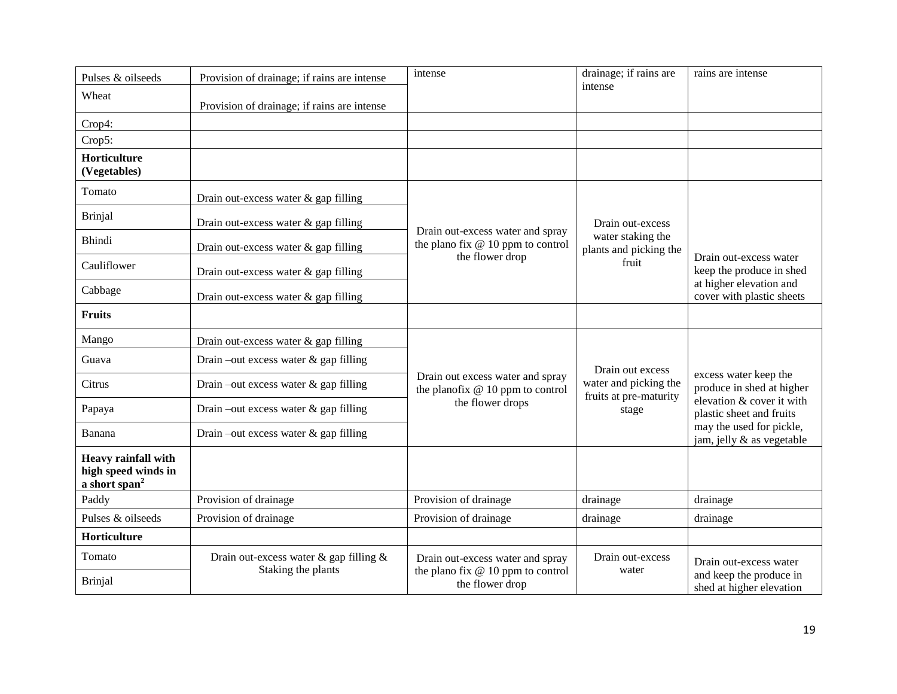| Pulses & oilseeds                                                              | Provision of drainage; if rains are intense                        | intense                                                                | drainage; if rains are<br>intense               | rains are intense                                     |
|--------------------------------------------------------------------------------|--------------------------------------------------------------------|------------------------------------------------------------------------|-------------------------------------------------|-------------------------------------------------------|
| Wheat                                                                          | Provision of drainage; if rains are intense                        |                                                                        |                                                 |                                                       |
| Crop4:                                                                         |                                                                    |                                                                        |                                                 |                                                       |
| Crop5:                                                                         |                                                                    |                                                                        |                                                 |                                                       |
| Horticulture<br>(Vegetables)                                                   |                                                                    |                                                                        |                                                 |                                                       |
| Tomato                                                                         | Drain out-excess water & gap filling                               |                                                                        |                                                 |                                                       |
| <b>Brinjal</b>                                                                 | Drain out-excess water & gap filling                               | Drain out-excess water and spray                                       | Drain out-excess                                |                                                       |
| Bhindi                                                                         | Drain out-excess water & gap filling                               | the plano fix $@10$ ppm to control<br>the flower drop                  | water staking the<br>plants and picking the     | Drain out-excess water                                |
| Cauliflower                                                                    | Drain out-excess water & gap filling                               |                                                                        | fruit                                           | keep the produce in shed                              |
| Cabbage                                                                        | Drain out-excess water & gap filling                               |                                                                        |                                                 | at higher elevation and<br>cover with plastic sheets  |
| <b>Fruits</b>                                                                  |                                                                    |                                                                        |                                                 |                                                       |
| Mango                                                                          | Drain out-excess water $\&$ gap filling                            |                                                                        |                                                 |                                                       |
| Guava                                                                          | Drain-out excess water $\&$ gap filling                            |                                                                        | Drain out excess                                |                                                       |
| Citrus                                                                         | Drain –out excess water $\&$ gap filling                           | Drain out excess water and spray<br>the planofix $@10$ ppm to control  | water and picking the<br>fruits at pre-maturity | excess water keep the<br>produce in shed at higher    |
| Papaya                                                                         | Drain –out excess water $\&$ gap filling                           | the flower drops                                                       | stage                                           | elevation & cover it with<br>plastic sheet and fruits |
| Banana                                                                         | Drain –out excess water $\&$ gap filling                           |                                                                        |                                                 | may the used for pickle,<br>jam, jelly & as vegetable |
| <b>Heavy rainfall with</b><br>high speed winds in<br>a short span <sup>2</sup> |                                                                    |                                                                        |                                                 |                                                       |
| Paddy                                                                          | Provision of drainage                                              | Provision of drainage                                                  | drainage                                        | drainage                                              |
| Pulses & oilseeds                                                              | Provision of drainage                                              | Provision of drainage                                                  | drainage                                        | drainage                                              |
| Horticulture                                                                   |                                                                    |                                                                        |                                                 |                                                       |
| Tomato                                                                         | Drain out-excess water $\&$ gap filling $\&$<br>Staking the plants | Drain out-excess water and spray<br>the plano fix $@10$ ppm to control | Drain out-excess<br>water                       | Drain out-excess water                                |
| <b>Brinjal</b>                                                                 |                                                                    | the flower drop                                                        |                                                 | and keep the produce in<br>shed at higher elevation   |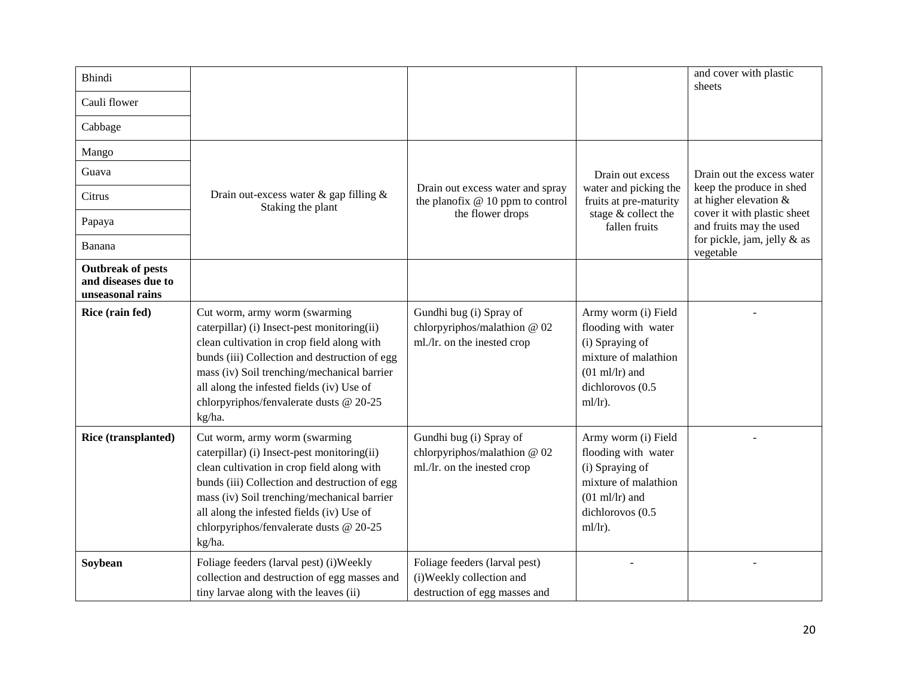| <b>Bhindi</b>                                                       |                                                                                                                                                                                                                                                                                                                              |                                                                                             |                                                                                                                                                     | and cover with plastic<br>sheets                       |
|---------------------------------------------------------------------|------------------------------------------------------------------------------------------------------------------------------------------------------------------------------------------------------------------------------------------------------------------------------------------------------------------------------|---------------------------------------------------------------------------------------------|-----------------------------------------------------------------------------------------------------------------------------------------------------|--------------------------------------------------------|
| Cauli flower                                                        |                                                                                                                                                                                                                                                                                                                              |                                                                                             |                                                                                                                                                     |                                                        |
| Cabbage                                                             |                                                                                                                                                                                                                                                                                                                              |                                                                                             |                                                                                                                                                     |                                                        |
| Mango                                                               |                                                                                                                                                                                                                                                                                                                              |                                                                                             |                                                                                                                                                     |                                                        |
| Guava                                                               |                                                                                                                                                                                                                                                                                                                              |                                                                                             | Drain out excess                                                                                                                                    | Drain out the excess water                             |
| Citrus                                                              | Drain out-excess water & gap filling &<br>Staking the plant                                                                                                                                                                                                                                                                  | Drain out excess water and spray<br>the planofix $@10$ ppm to control                       | water and picking the<br>fruits at pre-maturity                                                                                                     | keep the produce in shed<br>at higher elevation $&$    |
| Papaya                                                              |                                                                                                                                                                                                                                                                                                                              | the flower drops                                                                            | stage & collect the<br>fallen fruits                                                                                                                | cover it with plastic sheet<br>and fruits may the used |
| Banana                                                              |                                                                                                                                                                                                                                                                                                                              |                                                                                             |                                                                                                                                                     | for pickle, jam, jelly $\&$ as<br>vegetable            |
| <b>Outbreak of pests</b><br>and diseases due to<br>unseasonal rains |                                                                                                                                                                                                                                                                                                                              |                                                                                             |                                                                                                                                                     |                                                        |
| Rice (rain fed)                                                     | Cut worm, army worm (swarming<br>caterpillar) (i) Insect-pest monitoring(ii)<br>clean cultivation in crop field along with<br>bunds (iii) Collection and destruction of egg<br>mass (iv) Soil trenching/mechanical barrier<br>all along the infested fields (iv) Use of<br>chlorpyriphos/fenvalerate dusts @ 20-25<br>kg/ha. | Gundhi bug (i) Spray of<br>chlorpyriphos/malathion @ 02<br>ml./lr. on the inested crop      | Army worm (i) Field<br>flooding with water<br>(i) Spraying of<br>mixture of malathion<br>$(01 \text{ ml/lr})$ and<br>dichlorovos (0.5<br>$ml/lr$ ). |                                                        |
| Rice (transplanted)                                                 | Cut worm, army worm (swarming<br>caterpillar) (i) Insect-pest monitoring(ii)<br>clean cultivation in crop field along with<br>bunds (iii) Collection and destruction of egg<br>mass (iv) Soil trenching/mechanical barrier<br>all along the infested fields (iv) Use of<br>chlorpyriphos/fenvalerate dusts @ 20-25<br>kg/ha. | Gundhi bug (i) Spray of<br>chlorpyriphos/malathion @ 02<br>ml./lr. on the inested crop      | Army worm (i) Field<br>flooding with water<br>(i) Spraying of<br>mixture of malathion<br>$(01 \text{ ml/lr})$ and<br>dichlorovos (0.5<br>$ml/lr$ ). |                                                        |
| Soybean                                                             | Foliage feeders (larval pest) (i) Weekly<br>collection and destruction of egg masses and<br>tiny larvae along with the leaves (ii)                                                                                                                                                                                           | Foliage feeders (larval pest)<br>(i) Weekly collection and<br>destruction of egg masses and |                                                                                                                                                     |                                                        |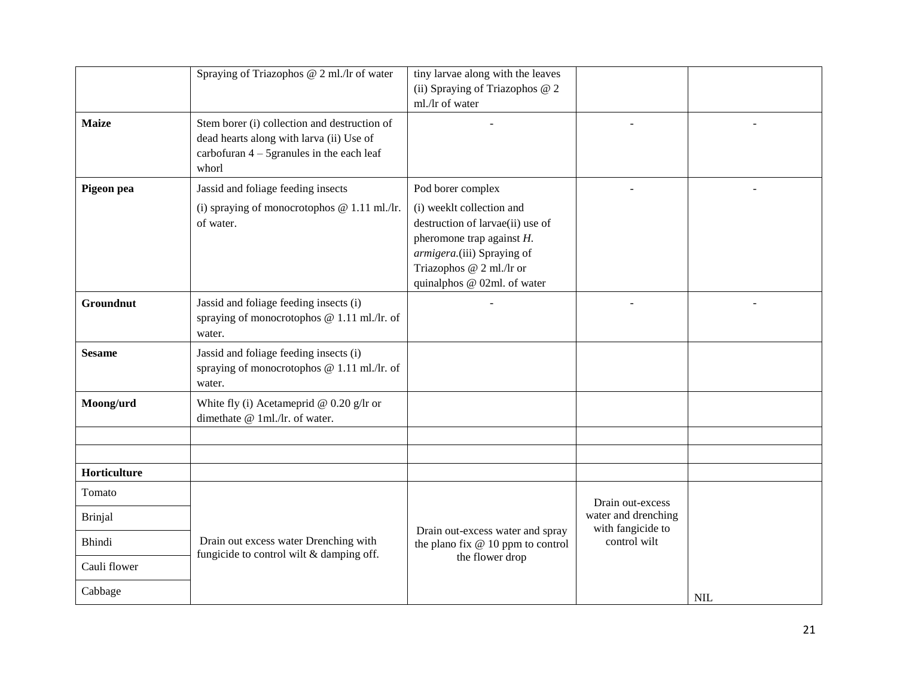|                  | Spraying of Triazophos @ 2 ml./lr of water                                                                                                        | tiny larvae along with the leaves<br>(ii) Spraying of Triazophos @ 2<br>ml./lr of water                                                                                                |                                         |            |
|------------------|---------------------------------------------------------------------------------------------------------------------------------------------------|----------------------------------------------------------------------------------------------------------------------------------------------------------------------------------------|-----------------------------------------|------------|
| <b>Maize</b>     | Stem borer (i) collection and destruction of<br>dead hearts along with larva (ii) Use of<br>carbofuran $4 - 5$ granules in the each leaf<br>whorl |                                                                                                                                                                                        |                                         |            |
| Pigeon pea       | Jassid and foliage feeding insects                                                                                                                | Pod borer complex                                                                                                                                                                      |                                         |            |
|                  | (i) spraying of monocrotophos $@ 1.11$ ml./lr.<br>of water.                                                                                       | (i) weeklt collection and<br>destruction of larvae(ii) use of<br>pheromone trap against $H$ .<br>armigera.(iii) Spraying of<br>Triazophos @ 2 ml./lr or<br>quinalphos @ 02ml. of water |                                         |            |
| <b>Groundnut</b> | Jassid and foliage feeding insects (i)<br>spraying of monocrotophos @ 1.11 ml./lr. of<br>water.                                                   |                                                                                                                                                                                        |                                         |            |
| <b>Sesame</b>    | Jassid and foliage feeding insects (i)<br>spraying of monocrotophos @ 1.11 ml./lr. of<br>water.                                                   |                                                                                                                                                                                        |                                         |            |
| Moong/urd        | White fly (i) Acetameprid @ $0.20$ g/lr or<br>dimethate @ 1ml./lr. of water.                                                                      |                                                                                                                                                                                        |                                         |            |
|                  |                                                                                                                                                   |                                                                                                                                                                                        |                                         |            |
| Horticulture     |                                                                                                                                                   |                                                                                                                                                                                        |                                         |            |
| Tomato           |                                                                                                                                                   |                                                                                                                                                                                        |                                         |            |
| <b>Brinjal</b>   |                                                                                                                                                   |                                                                                                                                                                                        | Drain out-excess<br>water and drenching |            |
| <b>Bhindi</b>    | Drain out excess water Drenching with                                                                                                             | Drain out-excess water and spray<br>the plano fix $@10$ ppm to control                                                                                                                 | with fangicide to<br>control wilt       |            |
| Cauli flower     | fungicide to control wilt & damping off.                                                                                                          | the flower drop                                                                                                                                                                        |                                         |            |
| Cabbage          |                                                                                                                                                   |                                                                                                                                                                                        |                                         | <b>NIL</b> |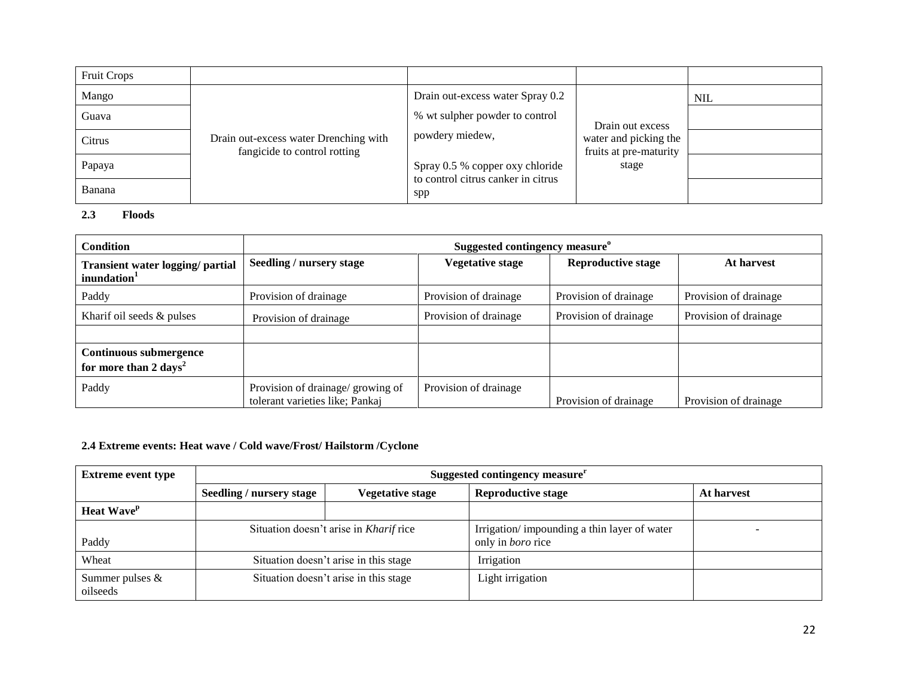| <b>Fruit Crops</b> |                                                                       |                                                                       |                                                                     |            |
|--------------------|-----------------------------------------------------------------------|-----------------------------------------------------------------------|---------------------------------------------------------------------|------------|
| Mango              | Drain out-excess water Drenching with<br>fangicide to control rotting | Drain out-excess water Spray 0.2                                      | Drain out excess<br>water and picking the<br>fruits at pre-maturity | <b>NIL</b> |
| Guava              |                                                                       | % wt sulpher powder to control                                        |                                                                     |            |
| Citrus             |                                                                       | powdery miedew,                                                       |                                                                     |            |
| Papaya             |                                                                       | Spray 0.5 % copper oxy chloride<br>to control citrus canker in citrus | stage                                                               |            |
| Banana             |                                                                       | spp                                                                   |                                                                     |            |

#### **2.3 Floods**

| <b>Condition</b>                                                   | Suggested contingency measure <sup>o</sup>                           |                         |                           |                       |  |
|--------------------------------------------------------------------|----------------------------------------------------------------------|-------------------------|---------------------------|-----------------------|--|
| <b>Transient water logging/ partial</b><br>inundation <sup>1</sup> | Seedling / nursery stage                                             | <b>Vegetative stage</b> | <b>Reproductive stage</b> | At harvest            |  |
| Paddy                                                              | Provision of drainage                                                | Provision of drainage   | Provision of drainage     | Provision of drainage |  |
| Kharif oil seeds $&$ pulses                                        | Provision of drainage                                                | Provision of drainage   | Provision of drainage     | Provision of drainage |  |
|                                                                    |                                                                      |                         |                           |                       |  |
| Continuous submergence<br>for more than 2 days <sup>2</sup>        |                                                                      |                         |                           |                       |  |
| Paddy                                                              | Provision of drainage/ growing of<br>tolerant varieties like; Pankaj | Provision of drainage   | Provision of drainage     | Provision of drainage |  |

# **2.4 Extreme events: Heat wave / Cold wave/Frost/ Hailstorm /Cyclone**

| <b>Extreme event type</b>     | Suggested contingency measure <sup>r</sup>          |  |                                                                         |            |
|-------------------------------|-----------------------------------------------------|--|-------------------------------------------------------------------------|------------|
|                               | Seedling / nursery stage<br><b>Vegetative stage</b> |  | <b>Reproductive stage</b>                                               | At harvest |
| <b>Heat Wave</b> <sup>p</sup> |                                                     |  |                                                                         |            |
| Paddy                         | Situation doesn't arise in Kharif rice              |  | Irrigation/impounding a thin layer of water<br>only in <i>boro</i> rice |            |
| Wheat                         | Situation doesn't arise in this stage               |  | Irrigation                                                              |            |
| Summer pulses &<br>oilseeds   | Situation doesn't arise in this stage               |  | Light irrigation                                                        |            |